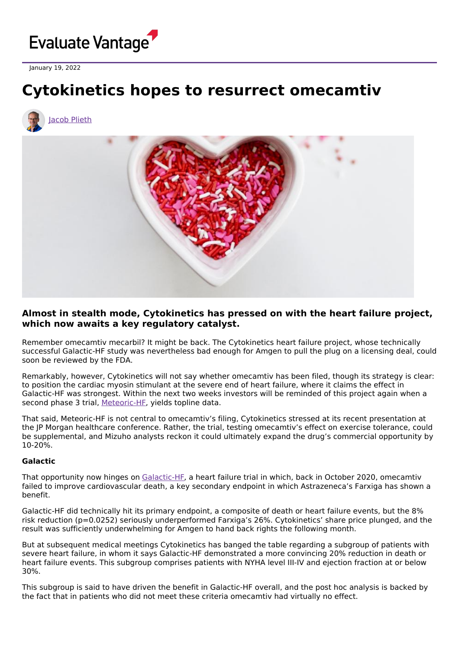

January 19, 2022

# **Cytokinetics hopes to resurrect omecamtiv**



## **Almost in stealth mode, Cytokinetics has pressed on with the heart failure project, which now awaits a key regulatory catalyst.**

Remember omecamtiv mecarbil? It might be back. The Cytokinetics heart failure project, whose technically successful Galactic-HF study was nevertheless bad enough for Amgen to pull the plug on a licensing deal, could soon be reviewed by the FDA.

Remarkably, however, Cytokinetics will not say whether omecamtiv has been filed, though its strategy is clear: to position the cardiac myosin stimulant at the severe end of heart failure, where it claims the effect in Galactic-HF was strongest. Within the next two weeks investors will be reminded of this project again when a second phase 3 trial, [Meteoric-HF](https://clinicaltrials.gov/ct2/show/NCT03759392), yields topline data.

That said, Meteoric-HF is not central to omecamtiv's filing, Cytokinetics stressed at its recent presentation at the JP Morgan healthcare conference. Rather, the trial, testing omecamtiv's effect on exercise tolerance, could be supplemental, and Mizuho analysts reckon it could ultimately expand the drug's commercial opportunity by 10-20%.

### **Galactic**

That opportunity now hinges on [Galactic-HF](https://clinicaltrials.gov/ct2/show/NCT02929329), a heart failure trial in which, back in October 2020, omecamtiv failed to improve cardiovascular death, a key secondary endpoint in which Astrazeneca's Farxiga has shown a benefit.

Galactic-HF did technically hit its primary endpoint, a composite of death or heart failure events, but the 8% risk reduction (p=0.0252) seriously underperformed Farxiga's 26%. Cytokinetics' share price plunged, and the result was sufficiently underwhelming for Amgen to hand back rights the following month.

But at subsequent medical meetings Cytokinetics has banged the table regarding a subgroup of patients with severe heart failure, in whom it says Galactic-HF demonstrated a more convincing 20% reduction in death or heart failure events. This subgroup comprises patients with NYHA level III-IV and ejection fraction at or below 30%.

This subgroup is said to have driven the benefit in Galactic-HF overall, and the post hoc analysis is backed by the fact that in patients who did not meet these criteria omecamtiv had virtually no effect.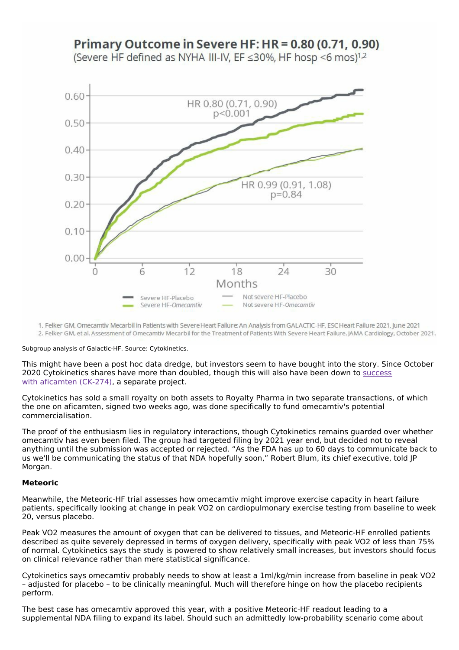# Primary Outcome in Severe HF: HR = 0.80 (0.71, 0.90) (Severe HF defined as NYHA III-IV, EF ≤30%, HF hosp <6 mos)<sup>1,2</sup>



1. Felker GM, Omecamtiv Mecarbil in Patients with Severe Heart Failure An Analysis from GALACTIC-HF, ESC Heart Failure 2021, June 2021 2. Felker GM, et al. Assessment of Omecamtiv Mecarbil for the Treatment of Patients With Severe Heart Failure. JAMA Cardiology, October 2021.

Subgroup analysis of Galactic-HF. Source: Cytokinetics.

This might have been a post hoc data dredge, but investors seem to have bought into the story. Since October 2020 [Cytokinetics](https://www.evaluate.com/vantage/articles/news/snippets/cytokinetics-heart-win-might-make-bristol-wince) shares have more than doubled, though this will also have been down to success with aficamten (CK-274), a separate project.

Cytokinetics has sold a small royalty on both assets to Royalty Pharma in two separate transactions, of which the one on aficamten, signed two weeks ago, was done specifically to fund omecamtiv's potential commercialisation.

The proof of the enthusiasm lies in regulatory interactions, though Cytokinetics remains guarded over whether omecamtiv has even been filed. The group had targeted filing by 2021 year end, but decided not to reveal anything until the submission was accepted or rejected. "As the FDA has up to 60 days to communicate back to us we'll be communicating the status of that NDA hopefully soon," Robert Blum, its chief executive, told JP Morgan.

#### **Meteoric**

Meanwhile, the Meteoric-HF trial assesses how omecamtiv might improve exercise capacity in heart failure patients, specifically looking at change in peak VO2 on cardiopulmonary exercise testing from baseline to week 20, versus placebo.

Peak VO2 measures the amount of oxygen that can be delivered to tissues, and Meteoric-HF enrolled patients described as quite severely depressed in terms of oxygen delivery, specifically with peak VO2 of less than 75% of normal. Cytokinetics says the study is powered to show relatively small increases, but investors should focus on clinical relevance rather than mere statistical significance.

Cytokinetics says omecamtiv probably needs to show at least a 1ml/kg/min increase from baseline in peak VO2 – adjusted for placebo – to be clinically meaningful. Much will therefore hinge on how the placebo recipients perform.

The best case has omecamtiv approved this year, with a positive Meteoric-HF readout leading to a supplemental NDA filing to expand its label. Should such an admittedly low-probability scenario come about